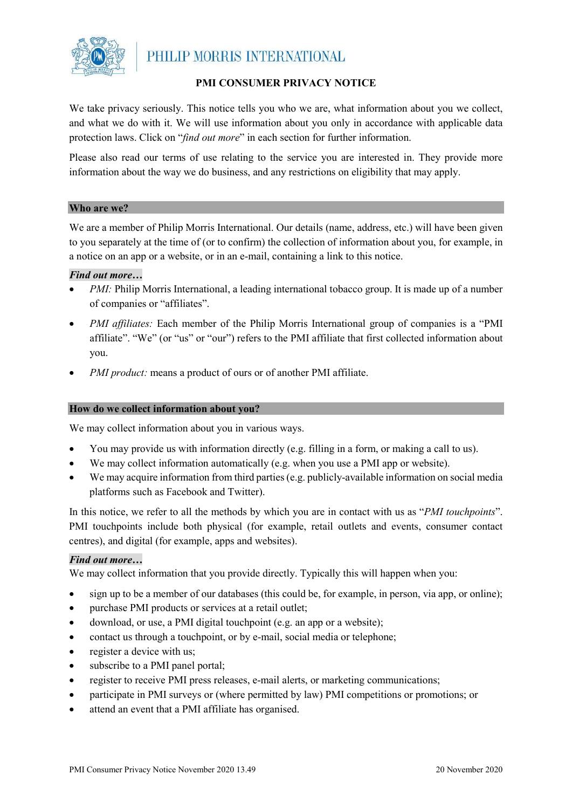

#### **PMI CONSUMER PRIVACY NOTICE**

We take privacy seriously. This notice tells you who we are, what information about you we collect, and what we do with it. We will use information about you only in accordance with applicable data protection laws. Click on "*find out more*" in each section for further information.

Please also read our terms of use relating to the service you are interested in. They provide more information about the way we do business, and any restrictions on eligibility that may apply.

#### **Who are we?**

We are a member of Philip Morris International. Our details (name, address, etc.) will have been given to you separately at the time of (or to confirm) the collection of information about you, for example, in a notice on an app or a website, or in an e-mail, containing a link to this notice.

#### *Find out more…*

- *PMI:* Philip Morris International, a leading international tobacco group. It is made up of a number of companies or "affiliates".
- *PMI affiliates:* Each member of the Philip Morris International group of companies is a "PMI affiliate". "We" (or "us" or "our") refers to the PMI affiliate that first collected information about you.
- *PMI product:* means a product of ours or of another PMI affiliate.

#### **How do we collect information about you?**

We may collect information about you in various ways.

- You may provide us with information directly (e.g. filling in a form, or making a call to us).
- We may collect information automatically (e.g. when you use a PMI app or website).
- We may acquire information from third parties (e.g. publicly-available information on social media platforms such as Facebook and Twitter).

In this notice, we refer to all the methods by which you are in contact with us as "*PMI touchpoints*". PMI touchpoints include both physical (for example, retail outlets and events, consumer contact centres), and digital (for example, apps and websites).

#### *Find out more…*

We may collect information that you provide directly. Typically this will happen when you:

- sign up to be a member of our databases (this could be, for example, in person, via app, or online);
- purchase PMI products or services at a retail outlet;
- download, or use, a PMI digital touchpoint (e.g. an app or a website);
- contact us through a touchpoint, or by e-mail, social media or telephone;
- register a device with us;
- subscribe to a PMI panel portal;
- register to receive PMI press releases, e-mail alerts, or marketing communications;
- participate in PMI surveys or (where permitted by law) PMI competitions or promotions; or
- attend an event that a PMI affiliate has organised.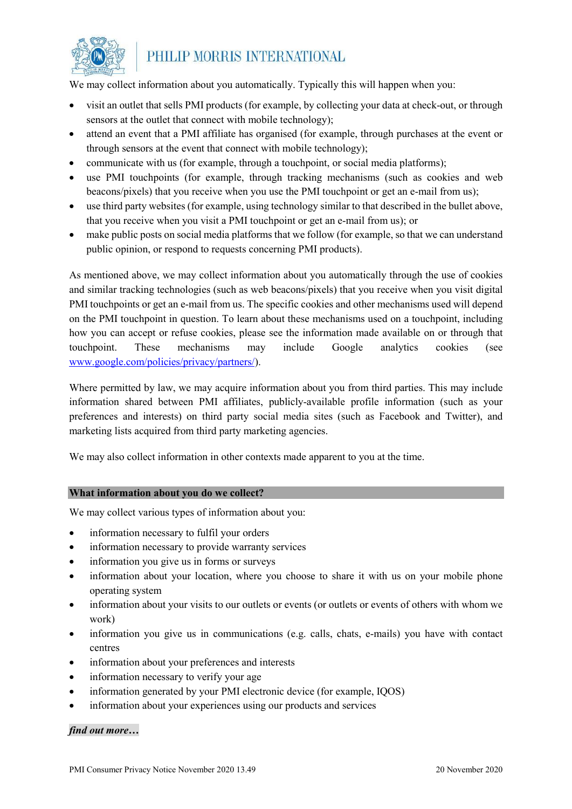

We may collect information about you automatically. Typically this will happen when you:

- visit an outlet that sells PMI products (for example, by collecting your data at check-out, or through sensors at the outlet that connect with mobile technology);
- attend an event that a PMI affiliate has organised (for example, through purchases at the event or through sensors at the event that connect with mobile technology);
- communicate with us (for example, through a touchpoint, or social media platforms);
- use PMI touchpoints (for example, through tracking mechanisms (such as cookies and web beacons/pixels) that you receive when you use the PMI touchpoint or get an e-mail from us);
- use third party websites (for example, using technology similar to that described in the bullet above, that you receive when you visit a PMI touchpoint or get an e-mail from us); or
- make public posts on social media platforms that we follow (for example, so that we can understand public opinion, or respond to requests concerning PMI products).

As mentioned above, we may collect information about you automatically through the use of cookies and similar tracking technologies (such as web beacons/pixels) that you receive when you visit digital PMI touchpoints or get an e-mail from us. The specific cookies and other mechanisms used will depend on the PMI touchpoint in question. To learn about these mechanisms used on a touchpoint, including how you can accept or refuse cookies, please see the information made available on or through that touchpoint. These mechanisms may include Google analytics cookies (see [www.google.com/policies/privacy/partners/\)](http://www.google.com/policies/privacy/partners/).

Where permitted by law, we may acquire information about you from third parties. This may include information shared between PMI affiliates, publicly-available profile information (such as your preferences and interests) on third party social media sites (such as Facebook and Twitter), and marketing lists acquired from third party marketing agencies.

We may also collect information in other contexts made apparent to you at the time.

#### **What information about you do we collect?**

We may collect various types of information about you:

- information necessary to fulfil your orders
- information necessary to provide warranty services
- information you give us in forms or surveys
- information about your location, where you choose to share it with us on your mobile phone operating system
- information about your visits to our outlets or events (or outlets or events of others with whom we work)
- information you give us in communications (e.g. calls, chats, e-mails) you have with contact centres
- information about your preferences and interests
- information necessary to verify your age
- information generated by your PMI electronic device (for example, IQOS)
- information about your experiences using our products and services

#### *find out more…*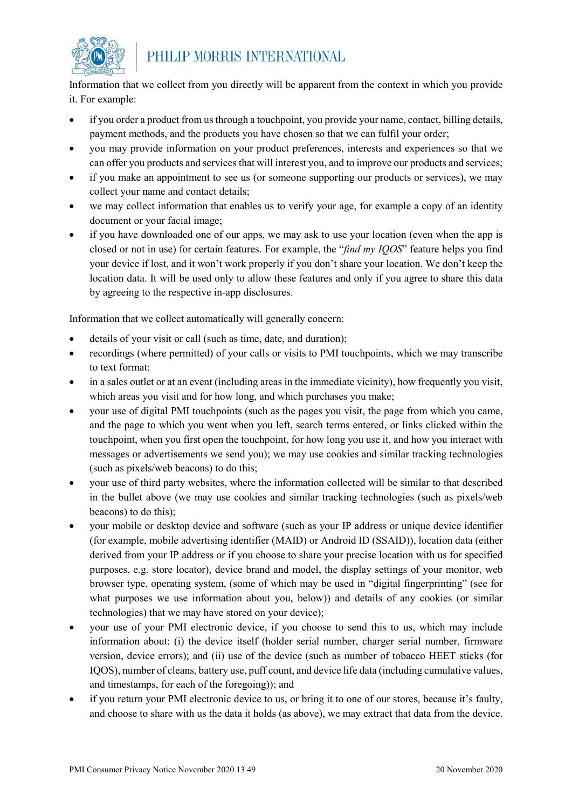

Information that we collect from you directly will be apparent from the context in which you provide it. For example:

- if you order a product from us through a touchpoint, you provide your name, contact, billing details, payment methods, and the products you have chosen so that we can fulfil your order;
- you may provide information on your product preferences, interests and experiences so that we can offer you products and services that will interest you, and to improve our products and services;
- if you make an appointment to see us (or someone supporting our products or services), we may collect your name and contact details;
- we may collect information that enables us to verify your age, for example a copy of an identity document or your facial image;
- if you have downloaded one of our apps, we may ask to use your location (even when the app is closed or not in use) for certain features. For example, the "*find my IQOS*" feature helps you find your device if lost, and it won't work properly if you don't share your location. We don't keep the location data. It will be used only to allow these features and only if you agree to share this data by agreeing to the respective in-app disclosures.

Information that we collect automatically will generally concern:

- details of your visit or call (such as time, date, and duration);
- recordings (where permitted) of your calls or visits to PMI touchpoints, which we may transcribe to text format;
- in a sales outlet or at an event (including areas in the immediate vicinity), how frequently you visit, which areas you visit and for how long, and which purchases you make;
- your use of digital PMI touchpoints (such as the pages you visit, the page from which you came, and the page to which you went when you left, search terms entered, or links clicked within the touchpoint, when you first open the touchpoint, for how long you use it, and how you interact with messages or advertisements we send you); we may use cookies and similar tracking technologies (such as pixels/web beacons) to do this;
- your use of third party websites, where the information collected will be similar to that described in the bullet above (we may use cookies and similar tracking technologies (such as pixels/web beacons) to do this);
- your mobile or desktop device and software (such as your IP address or unique device identifier (for example, mobile advertising identifier (MAID) or Android ID (SSAID)), location data (either derived from your IP address or if you choose to share your precise location with us for specified purposes, e.g. store locator), device brand and model, the display settings of your monitor, web browser type, operating system, (some of which may be used in "digital fingerprinting" (see for what purposes we use information about you, below)) and details of any cookies (or similar technologies) that we may have stored on your device);
- your use of your PMI electronic device, if you choose to send this to us, which may include information about: (i) the device itself (holder serial number, charger serial number, firmware version, device errors); and (ii) use of the device (such as number of tobacco HEET sticks (for IQOS), number of cleans, battery use, puff count, and device life data (including cumulative values, and timestamps, for each of the foregoing)); and
- if you return your PMI electronic device to us, or bring it to one of our stores, because it's faulty, and choose to share with us the data it holds (as above), we may extract that data from the device.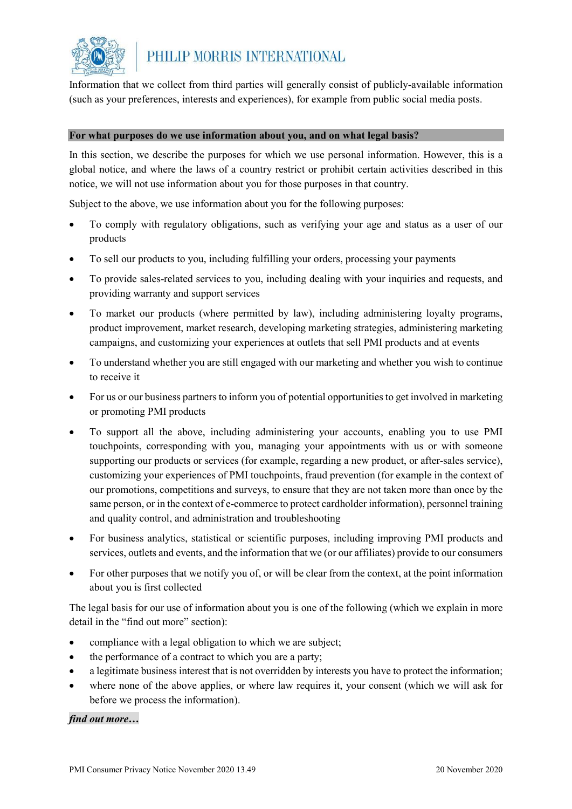

Information that we collect from third parties will generally consist of publicly-available information (such as your preferences, interests and experiences), for example from public social media posts.

#### **For what purposes do we use information about you, and on what legal basis?**

In this section, we describe the purposes for which we use personal information. However, this is a global notice, and where the laws of a country restrict or prohibit certain activities described in this notice, we will not use information about you for those purposes in that country.

Subject to the above, we use information about you for the following purposes:

- To comply with regulatory obligations, such as verifying your age and status as a user of our products
- To sell our products to you, including fulfilling your orders, processing your payments
- To provide sales-related services to you, including dealing with your inquiries and requests, and providing warranty and support services
- To market our products (where permitted by law), including administering loyalty programs, product improvement, market research, developing marketing strategies, administering marketing campaigns, and customizing your experiences at outlets that sell PMI products and at events
- To understand whether you are still engaged with our marketing and whether you wish to continue to receive it
- For us or our business partners to inform you of potential opportunities to get involved in marketing or promoting PMI products
- To support all the above, including administering your accounts, enabling you to use PMI touchpoints, corresponding with you, managing your appointments with us or with someone supporting our products or services (for example, regarding a new product, or after-sales service), customizing your experiences of PMI touchpoints, fraud prevention (for example in the context of our promotions, competitions and surveys, to ensure that they are not taken more than once by the same person, or in the context of e-commerce to protect cardholder information), personnel training and quality control, and administration and troubleshooting
- For business analytics, statistical or scientific purposes, including improving PMI products and services, outlets and events, and the information that we (or our affiliates) provide to our consumers
- For other purposes that we notify you of, or will be clear from the context, at the point information about you is first collected

The legal basis for our use of information about you is one of the following (which we explain in more detail in the "find out more" section):

- compliance with a legal obligation to which we are subject;
- the performance of a contract to which you are a party;
- a legitimate business interest that is not overridden by interests you have to protect the information;
- where none of the above applies, or where law requires it, your consent (which we will ask for before we process the information).

#### *find out more…*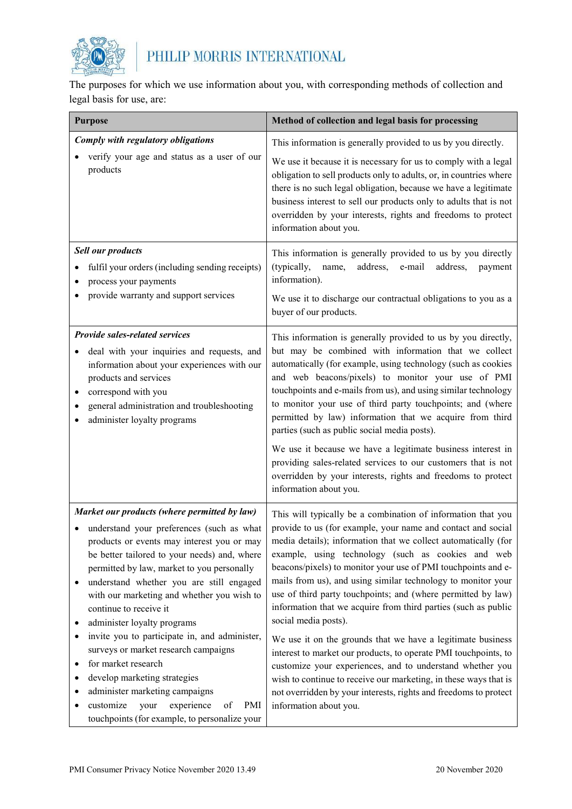

The purposes for which we use information about you, with corresponding methods of collection and legal basis for use, are:

| <b>Purpose</b>                                                                                                                                                                                                                                                                                                                                                                                                                                                                                                                                                                                                                                                                                                       | Method of collection and legal basis for processing                                                                                                                                                                                                                                                                                                                                                                                                                                                                                                                                                                                                                                                                                                                                                                                                                                                              |
|----------------------------------------------------------------------------------------------------------------------------------------------------------------------------------------------------------------------------------------------------------------------------------------------------------------------------------------------------------------------------------------------------------------------------------------------------------------------------------------------------------------------------------------------------------------------------------------------------------------------------------------------------------------------------------------------------------------------|------------------------------------------------------------------------------------------------------------------------------------------------------------------------------------------------------------------------------------------------------------------------------------------------------------------------------------------------------------------------------------------------------------------------------------------------------------------------------------------------------------------------------------------------------------------------------------------------------------------------------------------------------------------------------------------------------------------------------------------------------------------------------------------------------------------------------------------------------------------------------------------------------------------|
| Comply with regulatory obligations                                                                                                                                                                                                                                                                                                                                                                                                                                                                                                                                                                                                                                                                                   | This information is generally provided to us by you directly.                                                                                                                                                                                                                                                                                                                                                                                                                                                                                                                                                                                                                                                                                                                                                                                                                                                    |
| verify your age and status as a user of our<br>products                                                                                                                                                                                                                                                                                                                                                                                                                                                                                                                                                                                                                                                              | We use it because it is necessary for us to comply with a legal<br>obligation to sell products only to adults, or, in countries where<br>there is no such legal obligation, because we have a legitimate<br>business interest to sell our products only to adults that is not<br>overridden by your interests, rights and freedoms to protect<br>information about you.                                                                                                                                                                                                                                                                                                                                                                                                                                                                                                                                          |
| <b>Sell our products</b><br>fulfil your orders (including sending receipts)<br>process your payments<br>provide warranty and support services                                                                                                                                                                                                                                                                                                                                                                                                                                                                                                                                                                        | This information is generally provided to us by you directly<br>(typically,<br>address,<br>e-mail<br>address,<br>name,<br>payment<br>information).<br>We use it to discharge our contractual obligations to you as a<br>buyer of our products.                                                                                                                                                                                                                                                                                                                                                                                                                                                                                                                                                                                                                                                                   |
| <b>Provide sales-related services</b><br>deal with your inquiries and requests, and<br>information about your experiences with our<br>products and services<br>correspond with you<br>general administration and troubleshooting<br>administer loyalty programs                                                                                                                                                                                                                                                                                                                                                                                                                                                      | This information is generally provided to us by you directly,<br>but may be combined with information that we collect<br>automatically (for example, using technology (such as cookies<br>and web beacons/pixels) to monitor your use of PMI<br>touchpoints and e-mails from us), and using similar technology<br>to monitor your use of third party touchpoints; and (where<br>permitted by law) information that we acquire from third<br>parties (such as public social media posts).<br>We use it because we have a legitimate business interest in<br>providing sales-related services to our customers that is not<br>overridden by your interests, rights and freedoms to protect<br>information about you.                                                                                                                                                                                               |
| Market our products (where permitted by law)<br>understand your preferences (such as what<br>products or events may interest you or may<br>be better tailored to your needs) and, where<br>permitted by law, market to you personally<br>understand whether you are still engaged<br>with our marketing and whether you wish to<br>continue to receive it<br>administer loyalty programs<br>invite you to participate in, and administer,<br>$\bullet$<br>surveys or market research campaigns<br>for market research<br>$\bullet$<br>develop marketing strategies<br>٠<br>administer marketing campaigns<br>٠<br>customize<br>experience<br>of<br>PMI<br>your<br>٠<br>touchpoints (for example, to personalize your | This will typically be a combination of information that you<br>provide to us (for example, your name and contact and social<br>media details); information that we collect automatically (for<br>example, using technology (such as cookies and web<br>beacons/pixels) to monitor your use of PMI touchpoints and e-<br>mails from us), and using similar technology to monitor your<br>use of third party touchpoints; and (where permitted by law)<br>information that we acquire from third parties (such as public<br>social media posts).<br>We use it on the grounds that we have a legitimate business<br>interest to market our products, to operate PMI touchpoints, to<br>customize your experiences, and to understand whether you<br>wish to continue to receive our marketing, in these ways that is<br>not overridden by your interests, rights and freedoms to protect<br>information about you. |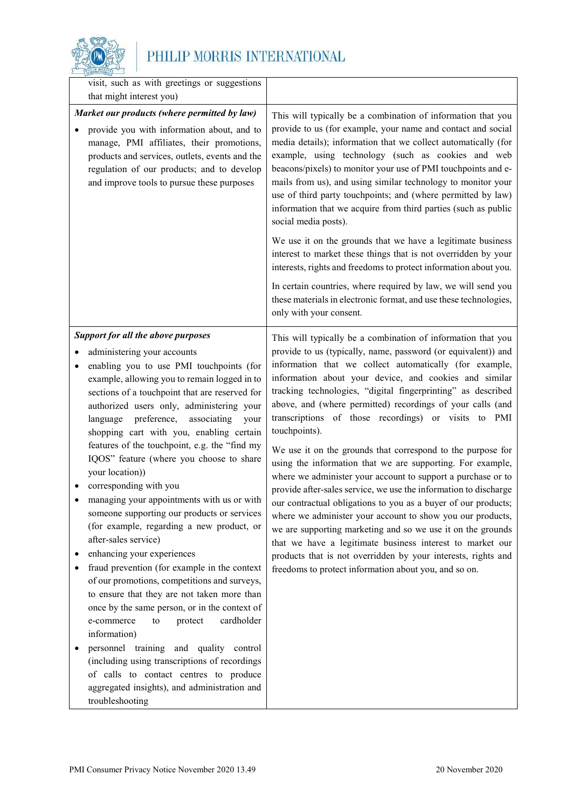

| visit, such as with greetings or suggestions<br>that might interest you)                                                                                                                                                                                                                        |                                                                                                                                                                                                                                                                                                                                                                                                                                                                                                                                                                                                                                                                                                                                                                                                                                                                                            |
|-------------------------------------------------------------------------------------------------------------------------------------------------------------------------------------------------------------------------------------------------------------------------------------------------|--------------------------------------------------------------------------------------------------------------------------------------------------------------------------------------------------------------------------------------------------------------------------------------------------------------------------------------------------------------------------------------------------------------------------------------------------------------------------------------------------------------------------------------------------------------------------------------------------------------------------------------------------------------------------------------------------------------------------------------------------------------------------------------------------------------------------------------------------------------------------------------------|
| Market our products (where permitted by law)<br>provide you with information about, and to<br>manage, PMI affiliates, their promotions,<br>products and services, outlets, events and the<br>regulation of our products; and to develop<br>and improve tools to pursue these purposes           | This will typically be a combination of information that you<br>provide to us (for example, your name and contact and social<br>media details); information that we collect automatically (for<br>example, using technology (such as cookies and web<br>beacons/pixels) to monitor your use of PMI touchpoints and e-<br>mails from us), and using similar technology to monitor your<br>use of third party touchpoints; and (where permitted by law)<br>information that we acquire from third parties (such as public<br>social media posts).<br>We use it on the grounds that we have a legitimate business<br>interest to market these things that is not overridden by your<br>interests, rights and freedoms to protect information about you.<br>In certain countries, where required by law, we will send you<br>these materials in electronic format, and use these technologies, |
| <b>Support for all the above purposes</b><br>administering your accounts<br>enabling you to use PMI touchpoints (for<br>example, allowing you to remain logged in to<br>sections of a touchpoint that are reserved for                                                                          | only with your consent.<br>This will typically be a combination of information that you<br>provide to us (typically, name, password (or equivalent)) and<br>information that we collect automatically (for example,<br>information about your device, and cookies and similar<br>tracking technologies, "digital fingerprinting" as described                                                                                                                                                                                                                                                                                                                                                                                                                                                                                                                                              |
| authorized users only, administering your<br>preference,<br>associating<br>language<br>your<br>shopping cart with you, enabling certain<br>features of the touchpoint, e.g. the "find my                                                                                                        | above, and (where permitted) recordings of your calls (and<br>transcriptions of those recordings) or visits to PMI<br>touchpoints).<br>We use it on the grounds that correspond to the purpose for                                                                                                                                                                                                                                                                                                                                                                                                                                                                                                                                                                                                                                                                                         |
| IQOS" feature (where you choose to share<br>your location))<br>corresponding with you<br>managing your appointments with us or with<br>someone supporting our products or services<br>(for example, regarding a new product, or<br>after-sales service)                                         | using the information that we are supporting. For example,<br>where we administer your account to support a purchase or to<br>provide after-sales service, we use the information to discharge<br>our contractual obligations to you as a buyer of our products;<br>where we administer your account to show you our products,<br>we are supporting marketing and so we use it on the grounds<br>that we have a legitimate business interest to market our                                                                                                                                                                                                                                                                                                                                                                                                                                 |
| enhancing your experiences<br>fraud prevention (for example in the context<br>of our promotions, competitions and surveys,<br>to ensure that they are not taken more than<br>once by the same person, or in the context of<br>cardholder<br>e-commerce<br>${\rm to}$<br>protect<br>information) | products that is not overridden by your interests, rights and<br>freedoms to protect information about you, and so on.                                                                                                                                                                                                                                                                                                                                                                                                                                                                                                                                                                                                                                                                                                                                                                     |
| personnel training and quality control<br>(including using transcriptions of recordings<br>of calls to contact centres to produce<br>aggregated insights), and administration and<br>troubleshooting                                                                                            |                                                                                                                                                                                                                                                                                                                                                                                                                                                                                                                                                                                                                                                                                                                                                                                                                                                                                            |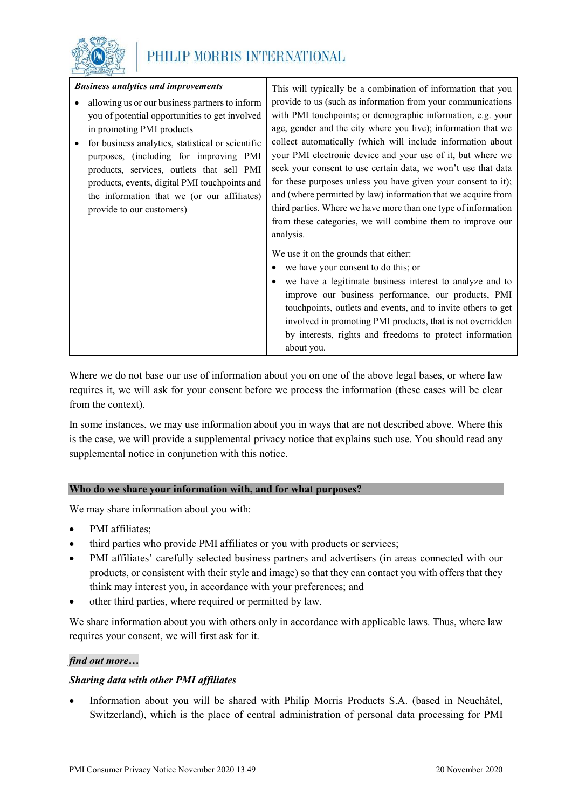

| <b>Business analytics and improvements</b> |                                                   | This will typically be a combination of information that you   |
|--------------------------------------------|---------------------------------------------------|----------------------------------------------------------------|
|                                            | allowing us or our business partners to inform    | provide to us (such as information from your communications    |
|                                            | you of potential opportunities to get involved    | with PMI touchpoints; or demographic information, e.g. your    |
|                                            | in promoting PMI products                         | age, gender and the city where you live); information that we  |
|                                            | for business analytics, statistical or scientific | collect automatically (which will include information about    |
|                                            | purposes, (including for improving PMI            | your PMI electronic device and your use of it, but where we    |
|                                            | products, services, outlets that sell PMI         | seek your consent to use certain data, we won't use that data  |
|                                            | products, events, digital PMI touchpoints and     | for these purposes unless you have given your consent to it);  |
|                                            | the information that we (or our affiliates)       | and (where permitted by law) information that we acquire from  |
|                                            | provide to our customers)                         | third parties. Where we have more than one type of information |
|                                            |                                                   | from these categories, we will combine them to improve our     |
|                                            |                                                   | analysis.                                                      |
|                                            |                                                   | We use it on the grounds that either:                          |
|                                            |                                                   | • we have your consent to do this; or                          |
|                                            |                                                   | we have a legitimate business interest to analyze and to       |
|                                            |                                                   | improve our business performance, our products, PMI            |
|                                            |                                                   | touchpoints, outlets and events, and to invite others to get   |
|                                            |                                                   | involved in promoting PMI products, that is not overridden     |
|                                            |                                                   | by interests, rights and freedoms to protect information       |
|                                            |                                                   | about you.                                                     |

Where we do not base our use of information about you on one of the above legal bases, or where law requires it, we will ask for your consent before we process the information (these cases will be clear from the context).

In some instances, we may use information about you in ways that are not described above. Where this is the case, we will provide a supplemental privacy notice that explains such use. You should read any supplemental notice in conjunction with this notice.

#### **Who do we share your information with, and for what purposes?**

We may share information about you with:

- PMI affiliates;
- third parties who provide PMI affiliates or you with products or services;
- PMI affiliates' carefully selected business partners and advertisers (in areas connected with our products, or consistent with their style and image) so that they can contact you with offers that they think may interest you, in accordance with your preferences; and
- other third parties, where required or permitted by law.

We share information about you with others only in accordance with applicable laws. Thus, where law requires your consent, we will first ask for it.

#### *find out more…*

#### *Sharing data with other PMI affiliates*

• Information about you will be shared with Philip Morris Products S.A. (based in Neuchâtel, Switzerland), which is the place of central administration of personal data processing for PMI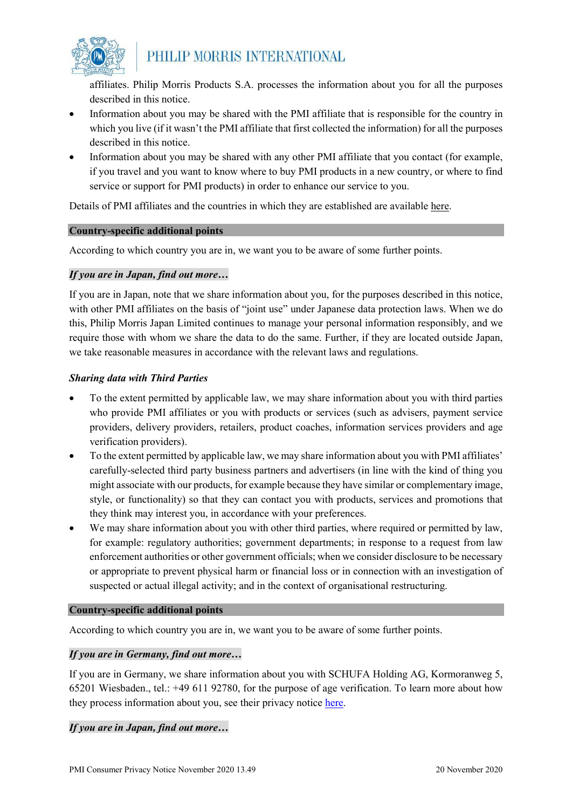

affiliates. Philip Morris Products S.A. processes the information about you for all the purposes described in this notice.

- Information about you may be shared with the PMI affiliate that is responsible for the country in which you live (if it wasn't the PMI affiliate that first collected the information) for all the purposes described in this notice.
- Information about you may be shared with any other PMI affiliate that you contact (for example, if you travel and you want to know where to buy PMI products in a new country, or where to find service or support for PMI products) in order to enhance our service to you.

Details of PMI affiliates and the countries in which they are established are available here.

#### **Country-specific additional points**

According to which country you are in, we want you to be aware of some further points.

#### *If you are in Japan, find out more…*

If you are in Japan, note that we share information about you, for the purposes described in this notice, with other PMI affiliates on the basis of "joint use" under Japanese data protection laws. When we do this, Philip Morris Japan Limited continues to manage your personal information responsibly, and we require those with whom we share the data to do the same. Further, if they are located outside Japan, we take reasonable measures in accordance with the relevant laws and regulations.

#### *Sharing data with Third Parties*

- To the extent permitted by applicable law, we may share information about you with third parties who provide PMI affiliates or you with products or services (such as advisers, payment service providers, delivery providers, retailers, product coaches, information services providers and age verification providers).
- To the extent permitted by applicable law, we may share information about you with PMI affiliates' carefully-selected third party business partners and advertisers (in line with the kind of thing you might associate with our products, for example because they have similar or complementary image, style, or functionality) so that they can contact you with products, services and promotions that they think may interest you, in accordance with your preferences.
- We may share information about you with other third parties, where required or permitted by law, for example: regulatory authorities; government departments; in response to a request from law enforcement authorities or other government officials; when we consider disclosure to be necessary or appropriate to prevent physical harm or financial loss or in connection with an investigation of suspected or actual illegal activity; and in the context of organisational restructuring.

#### **Country-specific additional points**

According to which country you are in, we want you to be aware of some further points.

#### *If you are in Germany, find out more…*

If you are in Germany, we share information about you with SCHUFA Holding AG, Kormoranweg 5, 65201 Wiesbaden., tel.: +49 611 92780, for the purpose of age verification. To learn more about how they process information about you, see their privacy notice [here.](https://www.schufa.de/datenschutz-dsgvo/)

#### *If you are in Japan, find out more…*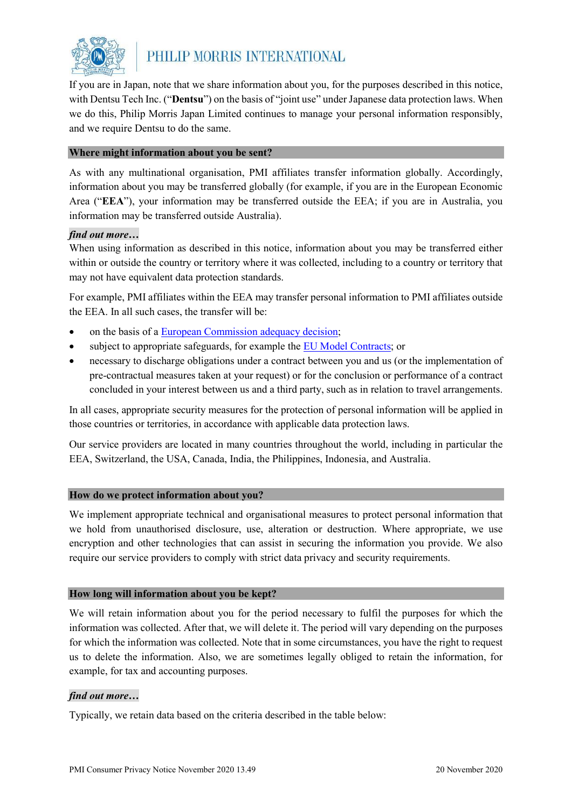

If you are in Japan, note that we share information about you, for the purposes described in this notice, with Dentsu Tech Inc. ("**Dentsu**") on the basis of "joint use" under Japanese data protection laws. When we do this, Philip Morris Japan Limited continues to manage your personal information responsibly, and we require Dentsu to do the same.

#### **Where might information about you be sent?**

As with any multinational organisation, PMI affiliates transfer information globally. Accordingly, information about you may be transferred globally (for example, if you are in the European Economic Area ("**EEA**"), your information may be transferred outside the EEA; if you are in Australia, you information may be transferred outside Australia).

#### *find out more…*

When using information as described in this notice, information about you may be transferred either within or outside the country or territory where it was collected, including to a country or territory that may not have equivalent data protection standards.

For example, PMI affiliates within the EEA may transfer personal information to PMI affiliates outside the EEA. In all such cases, the transfer will be:

- on the basis of a [European Commission adequacy decision;](https://ec.europa.eu/info/law/law-topic/data-protection/data-transfers-outside-eu/adequacy-protection-personal-data-non-eu-countries_en#dataprotectionincountriesoutsidetheeu)
- subject to appropriate safeguards, for example th[e EU Model Contracts;](https://ec.europa.eu/info/law/law-topic/data-protection/data-transfers-outside-eu/model-contracts-transfer-personal-data-third-countries_en) or
- necessary to discharge obligations under a contract between you and us (or the implementation of pre-contractual measures taken at your request) or for the conclusion or performance of a contract concluded in your interest between us and a third party, such as in relation to travel arrangements.

In all cases, appropriate security measures for the protection of personal information will be applied in those countries or territories, in accordance with applicable data protection laws.

Our service providers are located in many countries throughout the world, including in particular the EEA, Switzerland, the USA, Canada, India, the Philippines, Indonesia, and Australia.

#### **How do we protect information about you?**

We implement appropriate technical and organisational measures to protect personal information that we hold from unauthorised disclosure, use, alteration or destruction. Where appropriate, we use encryption and other technologies that can assist in securing the information you provide. We also require our service providers to comply with strict data privacy and security requirements.

#### **How long will information about you be kept?**

We will retain information about you for the period necessary to fulfil the purposes for which the information was collected. After that, we will delete it. The period will vary depending on the purposes for which the information was collected. Note that in some circumstances, you have the right to request us to delete the information. Also, we are sometimes legally obliged to retain the information, for example, for tax and accounting purposes.

#### *find out more…*

Typically, we retain data based on the criteria described in the table below: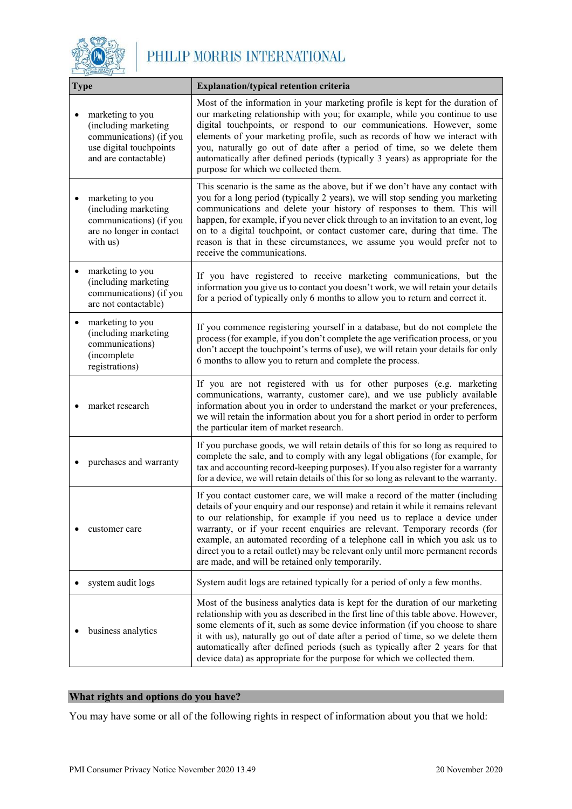

| <b>Type</b> |                                                                                                                        | <b>Explanation/typical retention criteria</b>                                                                                                                                                                                                                                                                                                                                                                                                                                                                                                      |
|-------------|------------------------------------------------------------------------------------------------------------------------|----------------------------------------------------------------------------------------------------------------------------------------------------------------------------------------------------------------------------------------------------------------------------------------------------------------------------------------------------------------------------------------------------------------------------------------------------------------------------------------------------------------------------------------------------|
|             | marketing to you<br>(including marketing<br>communications) (if you<br>use digital touchpoints<br>and are contactable) | Most of the information in your marketing profile is kept for the duration of<br>our marketing relationship with you; for example, while you continue to use<br>digital touchpoints, or respond to our communications. However, some<br>elements of your marketing profile, such as records of how we interact with<br>you, naturally go out of date after a period of time, so we delete them<br>automatically after defined periods (typically 3 years) as appropriate for the<br>purpose for which we collected them.                           |
|             | marketing to you<br>(including marketing<br>communications) (if you<br>are no longer in contact<br>with us)            | This scenario is the same as the above, but if we don't have any contact with<br>you for a long period (typically 2 years), we will stop sending you marketing<br>communications and delete your history of responses to them. This will<br>happen, for example, if you never click through to an invitation to an event, log<br>on to a digital touchpoint, or contact customer care, during that time. The<br>reason is that in these circumstances, we assume you would prefer not to<br>receive the communications.                            |
|             | marketing to you<br>(including marketing<br>communications) (if you<br>are not contactable)                            | If you have registered to receive marketing communications, but the<br>information you give us to contact you doesn't work, we will retain your details<br>for a period of typically only 6 months to allow you to return and correct it.                                                                                                                                                                                                                                                                                                          |
| ٠           | marketing to you<br>(including marketing<br>communications)<br>(incomplete<br>registrations)                           | If you commence registering yourself in a database, but do not complete the<br>process (for example, if you don't complete the age verification process, or you<br>don't accept the touchpoint's terms of use), we will retain your details for only<br>6 months to allow you to return and complete the process.                                                                                                                                                                                                                                  |
|             | market research                                                                                                        | If you are not registered with us for other purposes (e.g. marketing<br>communications, warranty, customer care), and we use publicly available<br>information about you in order to understand the market or your preferences,<br>we will retain the information about you for a short period in order to perform<br>the particular item of market research.                                                                                                                                                                                      |
|             | purchases and warranty                                                                                                 | If you purchase goods, we will retain details of this for so long as required to<br>complete the sale, and to comply with any legal obligations (for example, for<br>tax and accounting record-keeping purposes). If you also register for a warranty<br>for a device, we will retain details of this for so long as relevant to the warranty.                                                                                                                                                                                                     |
|             | customer care                                                                                                          | If you contact customer care, we will make a record of the matter (including<br>details of your enquiry and our response) and retain it while it remains relevant<br>to our relationship, for example if you need us to replace a device under<br>warranty, or if your recent enquiries are relevant. Temporary records (for<br>example, an automated recording of a telephone call in which you ask us to<br>direct you to a retail outlet) may be relevant only until more permanent records<br>are made, and will be retained only temporarily. |
|             | system audit logs                                                                                                      | System audit logs are retained typically for a period of only a few months.                                                                                                                                                                                                                                                                                                                                                                                                                                                                        |
|             | business analytics                                                                                                     | Most of the business analytics data is kept for the duration of our marketing<br>relationship with you as described in the first line of this table above. However,<br>some elements of it, such as some device information (if you choose to share<br>it with us), naturally go out of date after a period of time, so we delete them<br>automatically after defined periods (such as typically after 2 years for that<br>device data) as appropriate for the purpose for which we collected them.                                                |

#### **What rights and options do you have?**

You may have some or all of the following rights in respect of information about you that we hold: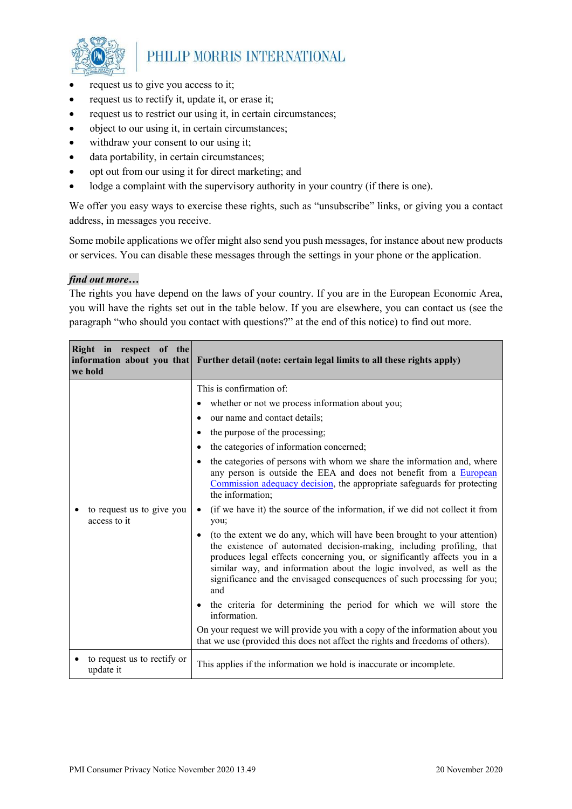

- request us to give you access to it;
- request us to rectify it, update it, or erase it;
- request us to restrict our using it, in certain circumstances;
- object to our using it, in certain circumstances;
- withdraw your consent to our using it;
- data portability, in certain circumstances;
- opt out from our using it for direct marketing; and
- lodge a complaint with the supervisory authority in your country (if there is one).

We offer you easy ways to exercise these rights, such as "unsubscribe" links, or giving you a contact address, in messages you receive.

Some mobile applications we offer might also send you push messages, for instance about new products or services. You can disable these messages through the settings in your phone or the application.

#### *find out more…*

The rights you have depend on the laws of your country. If you are in the European Economic Area, you will have the rights set out in the table below. If you are elsewhere, you can contact us (see the paragraph "who should you contact with questions?" at the end of this notice) to find out more.

| Right in respect of the<br>we hold        | information about you that Further detail (note: certain legal limits to all these rights apply)                                                                                                                                                                                                                                                                                               |
|-------------------------------------------|------------------------------------------------------------------------------------------------------------------------------------------------------------------------------------------------------------------------------------------------------------------------------------------------------------------------------------------------------------------------------------------------|
|                                           | This is confirmation of:                                                                                                                                                                                                                                                                                                                                                                       |
|                                           | whether or not we process information about you;                                                                                                                                                                                                                                                                                                                                               |
|                                           | our name and contact details;<br>٠                                                                                                                                                                                                                                                                                                                                                             |
|                                           | the purpose of the processing;<br>٠                                                                                                                                                                                                                                                                                                                                                            |
|                                           | the categories of information concerned;<br>$\bullet$                                                                                                                                                                                                                                                                                                                                          |
|                                           | the categories of persons with whom we share the information and, where<br>$\bullet$<br>any person is outside the EEA and does not benefit from a European<br>Commission adequacy decision, the appropriate safeguards for protecting<br>the information;                                                                                                                                      |
| to request us to give you<br>access to it | (if we have it) the source of the information, if we did not collect it from<br>$\bullet$<br>you;                                                                                                                                                                                                                                                                                              |
|                                           | (to the extent we do any, which will have been brought to your attention)<br>٠<br>the existence of automated decision-making, including profiling, that<br>produces legal effects concerning you, or significantly affects you in a<br>similar way, and information about the logic involved, as well as the<br>significance and the envisaged consequences of such processing for you;<br>and |
|                                           | the criteria for determining the period for which we will store the<br>$\bullet$<br>information.                                                                                                                                                                                                                                                                                               |
|                                           | On your request we will provide you with a copy of the information about you<br>that we use (provided this does not affect the rights and freedoms of others).                                                                                                                                                                                                                                 |
| to request us to rectify or<br>update it  | This applies if the information we hold is inaccurate or incomplete.                                                                                                                                                                                                                                                                                                                           |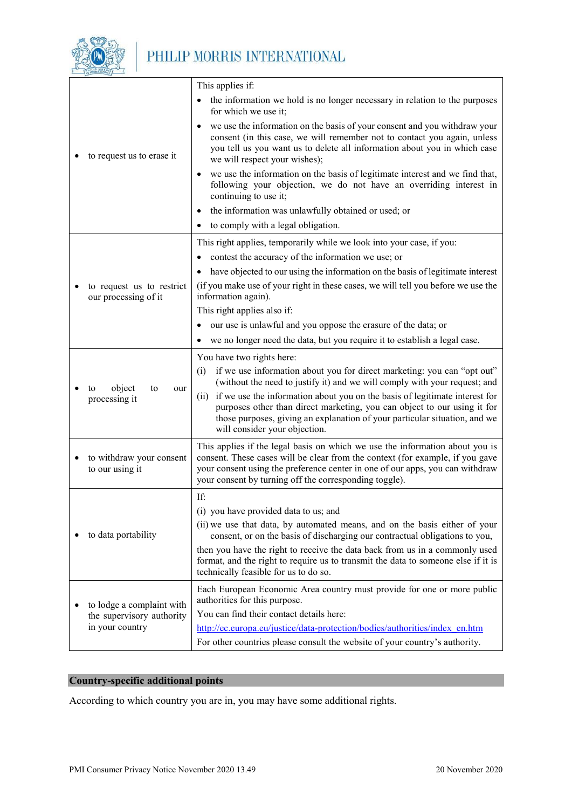

|  |                                                                           | This applies if:                                                                                                                                                                                                                                                                                         |  |
|--|---------------------------------------------------------------------------|----------------------------------------------------------------------------------------------------------------------------------------------------------------------------------------------------------------------------------------------------------------------------------------------------------|--|
|  | to request us to erase it                                                 | the information we hold is no longer necessary in relation to the purposes<br>$\bullet$<br>for which we use it;                                                                                                                                                                                          |  |
|  |                                                                           | we use the information on the basis of your consent and you withdraw your<br>$\bullet$<br>consent (in this case, we will remember not to contact you again, unless<br>you tell us you want us to delete all information about you in which case<br>we will respect your wishes);                         |  |
|  |                                                                           | we use the information on the basis of legitimate interest and we find that,<br>$\bullet$<br>following your objection, we do not have an overriding interest in<br>continuing to use it;                                                                                                                 |  |
|  |                                                                           | the information was unlawfully obtained or used; or                                                                                                                                                                                                                                                      |  |
|  |                                                                           | to comply with a legal obligation.                                                                                                                                                                                                                                                                       |  |
|  |                                                                           | This right applies, temporarily while we look into your case, if you:                                                                                                                                                                                                                                    |  |
|  |                                                                           | contest the accuracy of the information we use; or                                                                                                                                                                                                                                                       |  |
|  |                                                                           | have objected to our using the information on the basis of legitimate interest                                                                                                                                                                                                                           |  |
|  | to request us to restrict<br>our processing of it                         | (if you make use of your right in these cases, we will tell you before we use the<br>information again).                                                                                                                                                                                                 |  |
|  |                                                                           | This right applies also if:                                                                                                                                                                                                                                                                              |  |
|  |                                                                           | our use is unlawful and you oppose the erasure of the data; or                                                                                                                                                                                                                                           |  |
|  |                                                                           | we no longer need the data, but you require it to establish a legal case.                                                                                                                                                                                                                                |  |
|  |                                                                           | You have two rights here:                                                                                                                                                                                                                                                                                |  |
|  | object<br>to<br>to<br>our<br>processing it                                | if we use information about you for direct marketing: you can "opt out"<br>(i)<br>(without the need to justify it) and we will comply with your request; and                                                                                                                                             |  |
|  |                                                                           | (ii) if we use the information about you on the basis of legitimate interest for<br>purposes other than direct marketing, you can object to our using it for<br>those purposes, giving an explanation of your particular situation, and we<br>will consider your objection.                              |  |
|  | to withdraw your consent<br>to our using it                               | This applies if the legal basis on which we use the information about you is<br>consent. These cases will be clear from the context (for example, if you gave<br>your consent using the preference center in one of our apps, you can withdraw<br>your consent by turning off the corresponding toggle). |  |
|  |                                                                           | If:                                                                                                                                                                                                                                                                                                      |  |
|  | to data portability                                                       | (i) you have provided data to us; and                                                                                                                                                                                                                                                                    |  |
|  |                                                                           | (ii) we use that data, by automated means, and on the basis either of your<br>consent, or on the basis of discharging our contractual obligations to you,                                                                                                                                                |  |
|  |                                                                           | then you have the right to receive the data back from us in a commonly used<br>format, and the right to require us to transmit the data to someone else if it is<br>technically feasible for us to do so.                                                                                                |  |
|  | to lodge a complaint with<br>the supervisory authority<br>in your country | Each European Economic Area country must provide for one or more public<br>authorities for this purpose.                                                                                                                                                                                                 |  |
|  |                                                                           | You can find their contact details here:                                                                                                                                                                                                                                                                 |  |
|  |                                                                           | http://ec.europa.eu/justice/data-protection/bodies/authorities/index_en.htm<br>For other countries please consult the website of your country's authority.                                                                                                                                               |  |

#### **Country-specific additional points**

According to which country you are in, you may have some additional rights.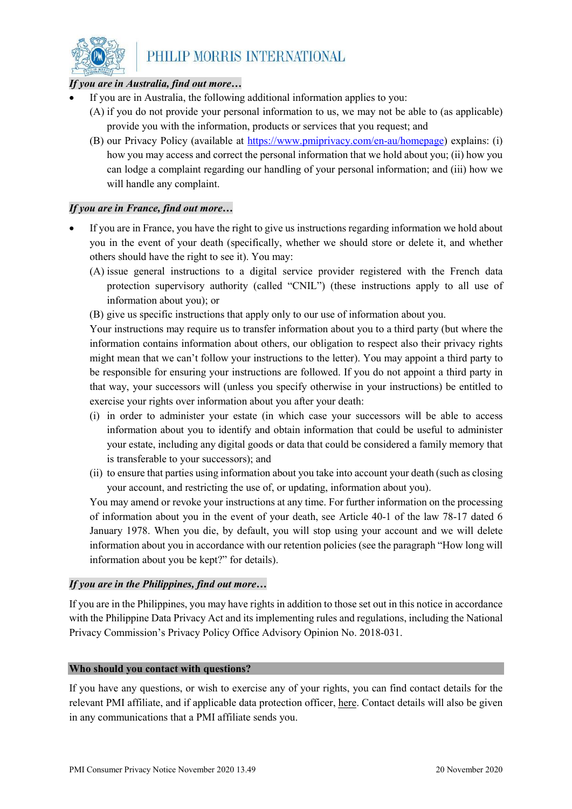

#### *If you are in Australia, find out more…*

- If you are in Australia, the following additional information applies to you:
	- (A) if you do not provide your personal information to us, we may not be able to (as applicable) provide you with the information, products or services that you request; and
	- (B) our Privacy Policy (available at [https://www.pmiprivacy.com/en-au/homepage\)](https://www.pmiprivacy.com/en-au/homepage) explains: (i) how you may access and correct the personal information that we hold about you; (ii) how you can lodge a complaint regarding our handling of your personal information; and (iii) how we will handle any complaint.

#### *If you are in France, find out more…*

- If you are in France, you have the right to give us instructions regarding information we hold about you in the event of your death (specifically, whether we should store or delete it, and whether others should have the right to see it). You may:
	- (A) issue general instructions to a digital service provider registered with the French data protection supervisory authority (called "CNIL") (these instructions apply to all use of information about you); or
	- (B) give us specific instructions that apply only to our use of information about you.

Your instructions may require us to transfer information about you to a third party (but where the information contains information about others, our obligation to respect also their privacy rights might mean that we can't follow your instructions to the letter). You may appoint a third party to be responsible for ensuring your instructions are followed. If you do not appoint a third party in that way, your successors will (unless you specify otherwise in your instructions) be entitled to exercise your rights over information about you after your death:

- (i) in order to administer your estate (in which case your successors will be able to access information about you to identify and obtain information that could be useful to administer your estate, including any digital goods or data that could be considered a family memory that is transferable to your successors); and
- (ii) to ensure that parties using information about you take into account your death (such as closing your account, and restricting the use of, or updating, information about you).

You may amend or revoke your instructions at any time. For further information on the processing of information about you in the event of your death, see Article 40-1 of the law 78-17 dated 6 January 1978. When you die, by default, you will stop using your account and we will delete information about you in accordance with our retention policies (see the paragraph "How long will information about you be kept?" for details).

#### *If you are in the Philippines, find out more…*

If you are in the Philippines, you may have rights in addition to those set out in this notice in accordance with the Philippine Data Privacy Act and its implementing rules and regulations, including the National Privacy Commission's Privacy Policy Office Advisory Opinion No. 2018-031.

#### **Who should you contact with questions?**

If you have any questions, or wish to exercise any of your rights, you can find contact details for the relevant PMI affiliate, and if applicable data protection officer, here. Contact details will also be given in any communications that a PMI affiliate sends you.